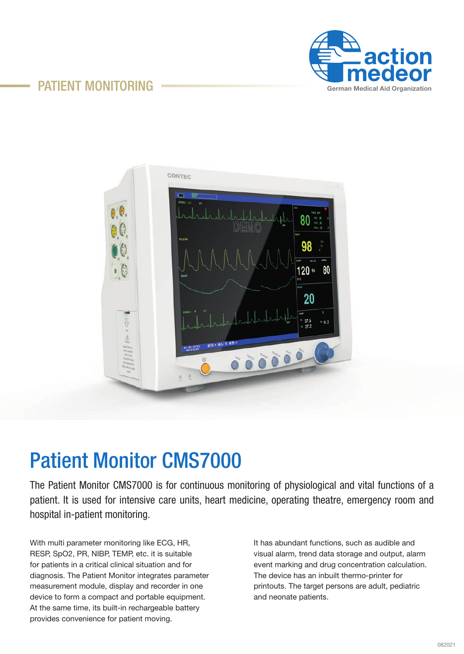



# Patient Monitor CMS7000

The Patient Monitor CMS7000 is for continuous monitoring of physiological and vital functions of a patient. It is used for intensive care units, heart medicine, operating theatre, emergency room and hospital in-patient monitoring.

With multi parameter monitoring like ECG, HR, RESP, SpO2, PR, NIBP, TEMP, etc. it is suitable for patients in a critical clinical situation and for diagnosis. The Patient Monitor integrates parameter measurement module, display and recorder in one device to form a compact and portable equipment. At the same time, its built-in rechargeable battery provides convenience for patient moving.

It has abundant functions, such as audible and visual alarm, trend data storage and output, alarm event marking and drug concentration calculation. The device has an inbuilt thermo-printer for printouts. The target persons are adult, pediatric and neonate patients.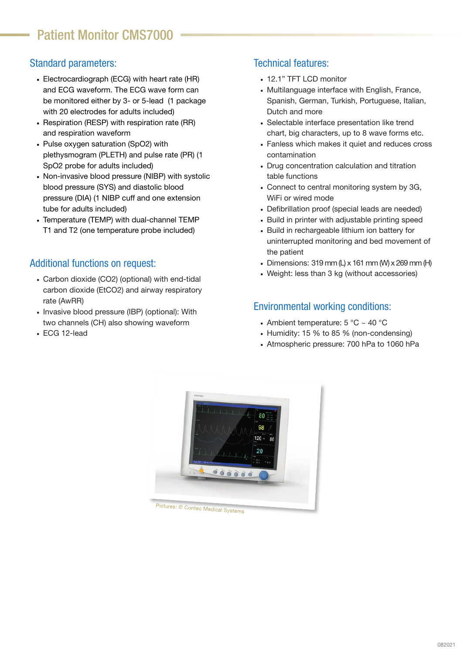### Standard parameters:

- Electrocardiograph (ECG) with heart rate (HR) and ECG waveform. The ECG wave form can be monitored either by 3- or 5-lead (1 package with 20 electrodes for adults included)
- Respiration (RESP) with respiration rate (RR) and respiration waveform
- Pulse oxygen saturation (SpO2) with plethysmogram (PLETH) and pulse rate (PR) (1 SpO2 probe for adults included)
- Non-invasive blood pressure (NIBP) with systolic blood pressure (SYS) and diastolic blood pressure (DIA) (1 NIBP cuff and one extension tube for adults included)
- Temperature (TEMP) with dual-channel TEMP T1 and T2 (one temperature probe included)

#### Additional functions on request:

- Carbon dioxide (CO2) (optional) with end-tidal carbon dioxide (EtCO2) and airway respiratory rate (AwRR)
- Invasive blood pressure (IBP) (optional): With two channels (CH) also showing waveform
- ECG 12-lead

### Technical features:

- 12.1" TFT LCD monitor
- Multilanguage interface with English, France, Spanish, German, Turkish, Portuguese, Italian, Dutch and more
- Selectable interface presentation like trend chart, big characters, up to 8 wave forms etc.
- Fanless which makes it quiet and reduces cross contamination
- Drug concentration calculation and titration table functions
- Connect to central monitoring system by 3G, WiFi or wired mode
- Defibrillation proof (special leads are needed)
- Build in printer with adjustable printing speed
- Build in rechargeable lithium ion battery for uninterrupted monitoring and bed movement of the patient
- Dimensions:  $319$  mm (L) x  $161$  mm (W) x  $269$  mm (H)
- Weight: less than 3 kg (without accessories)

### Environmental working conditions:

- Ambient temperature:  $5^{\circ}$ C ~ 40 °C
- Humidity: 15 % to 85 % (non-condensing)
- Atmospheric pressure: 700 hPa to 1060 hPa